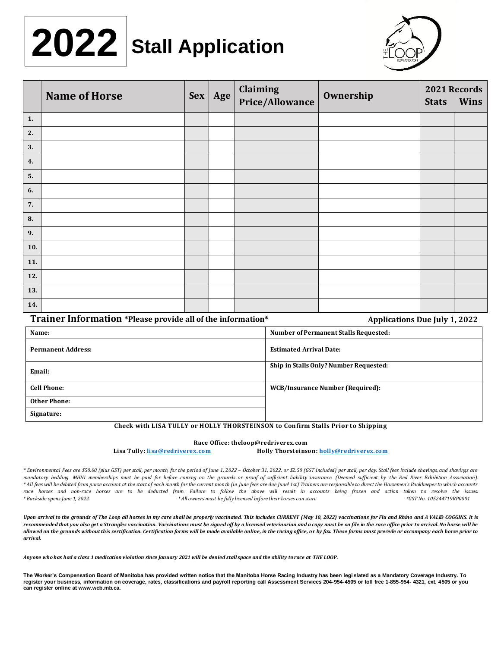# **ZUZZ** Stall Application **2022**



|     | <b>Name of Horse</b> | Sex | Age | Claiming<br>Price/Allowance | Ownership | <b>Stats</b> | 2021 Records<br>Wins |
|-----|----------------------|-----|-----|-----------------------------|-----------|--------------|----------------------|
| 1.  |                      |     |     |                             |           |              |                      |
| 2.  |                      |     |     |                             |           |              |                      |
| 3.  |                      |     |     |                             |           |              |                      |
| 4.  |                      |     |     |                             |           |              |                      |
| 5.  |                      |     |     |                             |           |              |                      |
| 6.  |                      |     |     |                             |           |              |                      |
| 7.  |                      |     |     |                             |           |              |                      |
| 8.  |                      |     |     |                             |           |              |                      |
| 9.  |                      |     |     |                             |           |              |                      |
| 10. |                      |     |     |                             |           |              |                      |
| 11. |                      |     |     |                             |           |              |                      |
| 12. |                      |     |     |                             |           |              |                      |
| 13. |                      |     |     |                             |           |              |                      |
| 14. |                      |     |     |                             |           |              |                      |

## **Trainer Information \*Please provide all of the information\* Applications Due July 1, 2022**

| Name:                     | <b>Number of Permanent Stalls Requested:</b> |
|---------------------------|----------------------------------------------|
| <b>Permanent Address:</b> | <b>Estimated Arrival Date:</b>               |
| Email:                    | Ship in Stalls Only? Number Requested:       |
| <b>Cell Phone:</b>        | WCB/Insurance Number (Required):             |
| <b>Other Phone:</b>       |                                              |
| Signature:                |                                              |

### **Check with LISA TULLY or HOLLY THORSTEINSON to Confirm Stalls Prior to Shipping**

#### **Race Office: theloop@redriverex.com**

**Lisa Tully[: lisa@redriverex.com](mailto:lisa@redriverex.com) Holly Thorsteinson[: holly@redriverex.com](mailto:holly@redriverex.com)**

\* Environmental Fees are \$50.00 (plus GST) per stall, per month, for the period of June 1, 2022 - October 31, 2022, or \$2.50 (GST included) per stall, per day. Stall fees include shavings, and shavings are *mandatory bedding. MHHI memberships must be paid for before coming on the grounds or proof of sufficient liability insurance. (Deemed sufficient by the Red River Exhibition Association).* \* All fees will be debited from purse account at the start of each month for the current month (ie. June fees are due Junel 1st) Trainers are responsible to direct the Horsemen's Bookkeeper to which accounts race horses and non-race horses are to be deducted from. Failure to follow the above will result in accounts being frozen and action taken to resolve the issues. *\* Backside opens June 1, 2022. \* All owners must be fully licensed before their horses can start. \*GST No. 105244719RP0001*

*Upon arrival to the grounds of The Loop all horses in my care shall be properly vaccinated. This includes CURRENT (May 10, 2022) vaccinations for Flu and Rhino and A VALID COGGINS. It is recommended that you also get a Strangles vaccination. Vaccinations must be signed off by a licensed veterinarian and a copy must be on file in the race office prior to arrival. No horse will be allowed on the grounds without this certification. Certification forms will be made available online, in the racing office, or by fax. These forms must precede or accompany each horse prior to arrival.*

*Anyone who has had a class 1 medication violation since January 2021 will be denied stall space and the ability to race at THE LOOP.* 

**The Worker's Compensation Board of Manitoba has provided written notice that the Manitoba Horse Racing Industry has been legi slated as a Mandatory Coverage Industry. To register your business, information on coverage, rates, classifications and payroll reporting call Assessment Services 204-954-4505 or toll free 1-855-954- 4321, ext. 4505 or you can register online at www.wcb.mb.ca.**